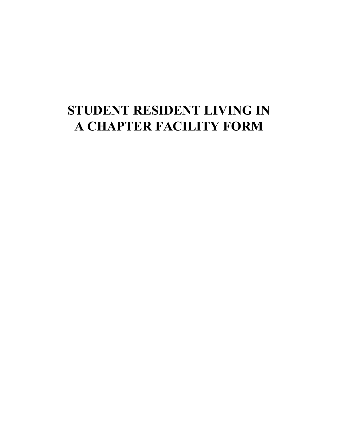## **STUDENT RESIDENT LIVING IN A CHAPTER FACILITY FORM**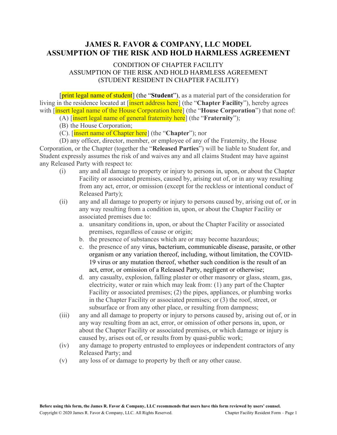## **JAMES R. FAVOR & COMPANY, LLC MODEL ASSUMPTION OF THE RISK AND HOLD HARMLESS AGREEMENT**

## CONDITION OF CHAPTER FACILITY ASSUMPTION OF THE RISK AND HOLD HARMLESS AGREEMENT (STUDENT RESIDENT IN CHAPTER FACILITY)

[print legal name of student] (the "**Student**"), as a material part of the consideration for living in the residence located at [insert address here] (the "**Chapter Facility**"), hereby agrees with [insert legal name of the House Corporation here] (the "**House Corporation**") that none of:

- (A) [insert legal name of general fraternity here] (the "**Fraternity**");
- (B) the House Corporation;
- (C). [insert name of Chapter here] (the "**Chapter**"); nor

(D) any officer, director, member, or employee of any of the Fraternity, the House Corporation, or the Chapter (together the "**Released Parties**") will be liable to Student for, and Student expressly assumes the risk of and waives any and all claims Student may have against any Released Party with respect to:

- (i) any and all damage to property or injury to persons in, upon, or about the Chapter Facility or associated premises, caused by, arising out of, or in any way resulting from any act, error, or omission (except for the reckless or intentional conduct of Released Party);
- (ii) any and all damage to property or injury to persons caused by, arising out of, or in any way resulting from a condition in, upon, or about the Chapter Facility or associated premises due to:
	- a. unsanitary conditions in, upon, or about the Chapter Facility or associated premises, regardless of cause or origin;
	- b. the presence of substances which are or may become hazardous;
	- c. the presence of any virus, bacterium, communicable disease, parasite, or other organism or any variation thereof, including, without limitation, the COVID-19 virus or any mutation thereof, whether such condition is the result of an act, error, or omission of a Released Party, negligent or otherwise;
	- d. any casualty, explosion, falling plaster or other masonry or glass, steam, gas, electricity, water or rain which may leak from: (1) any part of the Chapter Facility or associated premises; (2) the pipes, appliances, or plumbing works in the Chapter Facility or associated premises; or (3) the roof, street, or subsurface or from any other place, or resulting from dampness;
- (iii) any and all damage to property or injury to persons caused by, arising out of, or in any way resulting from an act, error, or omission of other persons in, upon, or about the Chapter Facility or associated premises, or which damage or injury is caused by, arises out of, or results from by quasi-public work;
- (iv) any damage to property entrusted to employees or independent contractors of any Released Party; and
- (v) any loss of or damage to property by theft or any other cause.